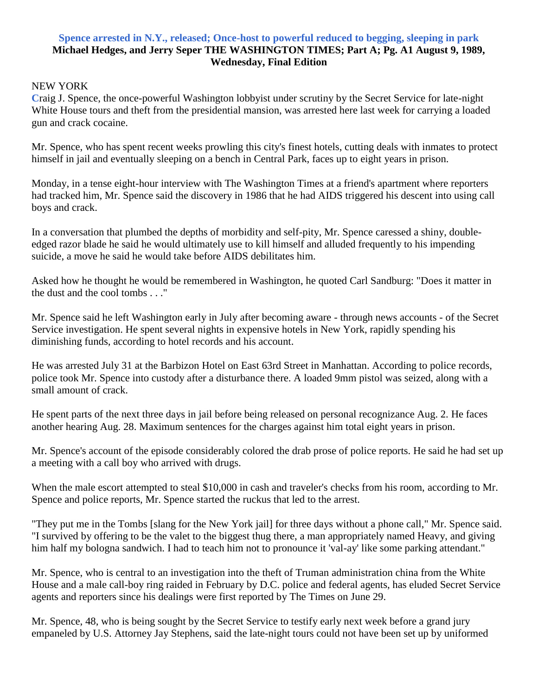## **Spence arrested in N.Y., released; Once-host to powerful reduced to begging, sleeping in park Michael Hedges, and Jerry Seper THE WASHINGTON TIMES; Part A; Pg. A1 August 9, 1989, Wednesday, Final Edition**

## NEW YORK

**C**raig J. Spence, the once-powerful Washington lobbyist under scrutiny by the Secret Service for late-night White House tours and theft from the presidential mansion, was arrested here last week for carrying a loaded gun and crack cocaine.

Mr. Spence, who has spent recent weeks prowling this city's finest hotels, cutting deals with inmates to protect himself in jail and eventually sleeping on a bench in Central Park, faces up to eight years in prison.

Monday, in a tense eight-hour interview with The Washington Times at a friend's apartment where reporters had tracked him, Mr. Spence said the discovery in 1986 that he had AIDS triggered his descent into using call boys and crack.

In a conversation that plumbed the depths of morbidity and self-pity, Mr. Spence caressed a shiny, doubleedged razor blade he said he would ultimately use to kill himself and alluded frequently to his impending suicide, a move he said he would take before AIDS debilitates him.

Asked how he thought he would be remembered in Washington, he quoted Carl Sandburg: "Does it matter in the dust and the cool tombs . . ."

Mr. Spence said he left Washington early in July after becoming aware - through news accounts - of the Secret Service investigation. He spent several nights in expensive hotels in New York, rapidly spending his diminishing funds, according to hotel records and his account.

He was arrested July 31 at the Barbizon Hotel on East 63rd Street in Manhattan. According to police records, police took Mr. Spence into custody after a disturbance there. A loaded 9mm pistol was seized, along with a small amount of crack.

He spent parts of the next three days in jail before being released on personal recognizance Aug. 2. He faces another hearing Aug. 28. Maximum sentences for the charges against him total eight years in prison.

Mr. Spence's account of the episode considerably colored the drab prose of police reports. He said he had set up a meeting with a call boy who arrived with drugs.

When the male escort attempted to steal \$10,000 in cash and traveler's checks from his room, according to Mr. Spence and police reports, Mr. Spence started the ruckus that led to the arrest.

"They put me in the Tombs [slang for the New York jail] for three days without a phone call," Mr. Spence said. "I survived by offering to be the valet to the biggest thug there, a man appropriately named Heavy, and giving him half my bologna sandwich. I had to teach him not to pronounce it 'val-ay' like some parking attendant."

Mr. Spence, who is central to an investigation into the theft of Truman administration china from the White House and a male call-boy ring raided in February by D.C. police and federal agents, has eluded Secret Service agents and reporters since his dealings were first reported by The Times on June 29.

Mr. Spence, 48, who is being sought by the Secret Service to testify early next week before a grand jury empaneled by U.S. Attorney Jay Stephens, said the late-night tours could not have been set up by uniformed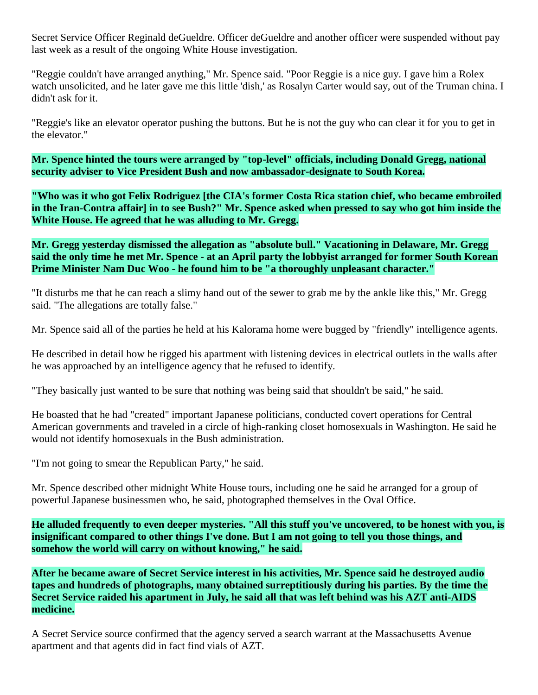Secret Service Officer Reginald deGueldre. Officer deGueldre and another officer were suspended without pay last week as a result of the ongoing White House investigation.

"Reggie couldn't have arranged anything," Mr. Spence said. "Poor Reggie is a nice guy. I gave him a Rolex watch unsolicited, and he later gave me this little 'dish,' as Rosalyn Carter would say, out of the Truman china. I didn't ask for it.

"Reggie's like an elevator operator pushing the buttons. But he is not the guy who can clear it for you to get in the elevator."

**Mr. Spence hinted the tours were arranged by "top-level" officials, including Donald Gregg, national security adviser to Vice President Bush and now ambassador-designate to South Korea.**

**"Who was it who got Felix Rodriguez [the CIA's former Costa Rica station chief, who became embroiled in the Iran-Contra affair] in to see Bush?" Mr. Spence asked when pressed to say who got him inside the White House. He agreed that he was alluding to Mr. Gregg.**

**Mr. Gregg yesterday dismissed the allegation as "absolute bull." Vacationing in Delaware, Mr. Gregg said the only time he met Mr. Spence - at an April party the lobbyist arranged for former South Korean Prime Minister Nam Duc Woo - he found him to be "a thoroughly unpleasant character."**

"It disturbs me that he can reach a slimy hand out of the sewer to grab me by the ankle like this," Mr. Gregg said. "The allegations are totally false."

Mr. Spence said all of the parties he held at his Kalorama home were bugged by "friendly" intelligence agents.

He described in detail how he rigged his apartment with listening devices in electrical outlets in the walls after he was approached by an intelligence agency that he refused to identify.

"They basically just wanted to be sure that nothing was being said that shouldn't be said," he said.

He boasted that he had "created" important Japanese politicians, conducted covert operations for Central American governments and traveled in a circle of high-ranking closet homosexuals in Washington. He said he would not identify homosexuals in the Bush administration.

"I'm not going to smear the Republican Party," he said.

Mr. Spence described other midnight White House tours, including one he said he arranged for a group of powerful Japanese businessmen who, he said, photographed themselves in the Oval Office.

**He alluded frequently to even deeper mysteries. "All this stuff you've uncovered, to be honest with you, is insignificant compared to other things I've done. But I am not going to tell you those things, and somehow the world will carry on without knowing," he said.**

**After he became aware of Secret Service interest in his activities, Mr. Spence said he destroyed audio tapes and hundreds of photographs, many obtained surreptitiously during his parties. By the time the Secret Service raided his apartment in July, he said all that was left behind was his AZT anti-AIDS medicine.**

A Secret Service source confirmed that the agency served a search warrant at the Massachusetts Avenue apartment and that agents did in fact find vials of AZT.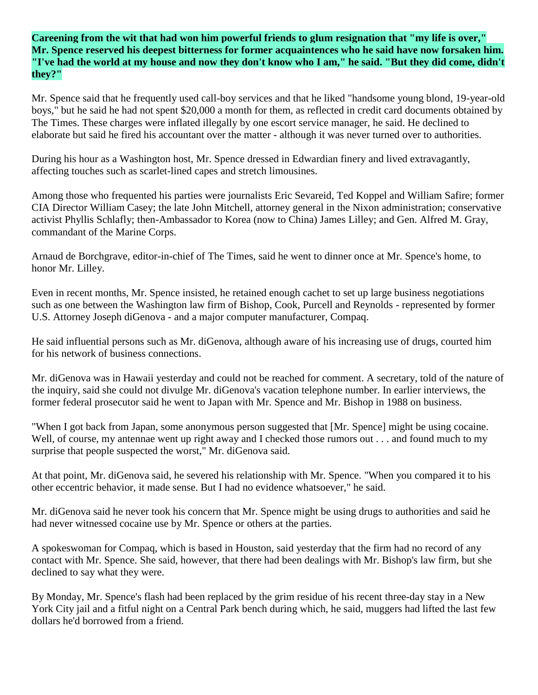**Careening from the wit that had won him powerful friends to glum resignation that "my life is over," Mr. Spence reserved his deepest bitterness for former acquaintences who he said have now forsaken him. "I've had the world at my house and now they don't know who I am," he said. "But they did come, didn't they?"**

Mr. Spence said that he frequently used call-boy services and that he liked "handsome young blond, 19-year-old boys," but he said he had not spent \$20,000 a month for them, as reflected in credit card documents obtained by The Times. These charges were inflated illegally by one escort service manager, he said. He declined to elaborate but said he fired his accountant over the matter - although it was never turned over to authorities.

During his hour as a Washington host, Mr. Spence dressed in Edwardian finery and lived extravagantly, affecting touches such as scarlet-lined capes and stretch limousines.

Among those who frequented his parties were journalists Eric Sevareid, Ted Koppel and William Safire; former CIA Director William Casey; the late John Mitchell, attorney general in the Nixon administration; conservative activist Phyllis Schlafly; then-Ambassador to Korea (now to China) James Lilley; and Gen. Alfred M. Gray, commandant of the Marine Corps.

Arnaud de Borchgrave, editor-in-chief of The Times, said he went to dinner once at Mr. Spence's home, to honor Mr. Lilley.

Even in recent months, Mr. Spence insisted, he retained enough cachet to set up large business negotiations such as one between the Washington law firm of Bishop, Cook, Purcell and Reynolds - represented by former U.S. Attorney Joseph diGenova - and a major computer manufacturer, Compaq.

He said influential persons such as Mr. diGenova, although aware of his increasing use of drugs, courted him for his network of business connections.

Mr. diGenova was in Hawaii yesterday and could not be reached for comment. A secretary, told of the nature of the inquiry, said she could not divulge Mr. diGenova's vacation telephone number. In earlier interviews, the former federal prosecutor said he went to Japan with Mr. Spence and Mr. Bishop in 1988 on business.

"When I got back from Japan, some anonymous person suggested that [Mr. Spence] might be using cocaine. Well, of course, my antennae went up right away and I checked those rumors out . . . and found much to my surprise that people suspected the worst," Mr. diGenova said.

At that point, Mr. diGenova said, he severed his relationship with Mr. Spence. "When you compared it to his other eccentric behavior, it made sense. But I had no evidence whatsoever," he said.

Mr. diGenova said he never took his concern that Mr. Spence might be using drugs to authorities and said he had never witnessed cocaine use by Mr. Spence or others at the parties.

A spokeswoman for Compaq, which is based in Houston, said yesterday that the firm had no record of any contact with Mr. Spence. She said, however, that there had been dealings with Mr. Bishop's law firm, but she declined to say what they were.

By Monday, Mr. Spence's flash had been replaced by the grim residue of his recent three-day stay in a New York City jail and a fitful night on a Central Park bench during which, he said, muggers had lifted the last few dollars he'd borrowed from a friend.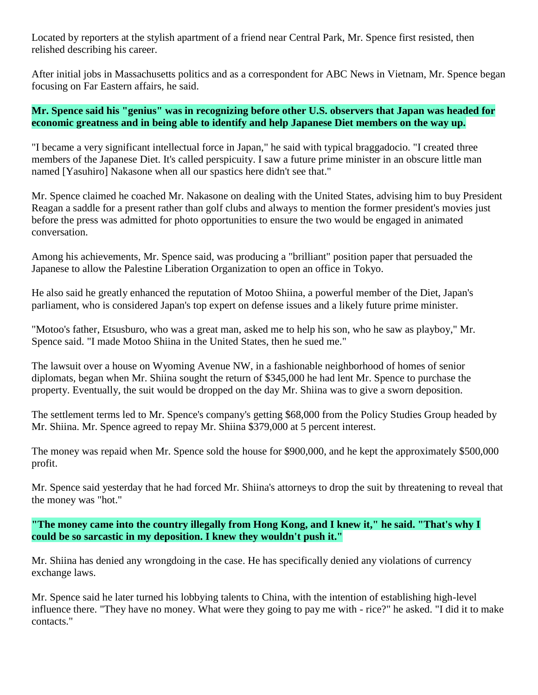Located by reporters at the stylish apartment of a friend near Central Park, Mr. Spence first resisted, then relished describing his career.

After initial jobs in Massachusetts politics and as a correspondent for ABC News in Vietnam, Mr. Spence began focusing on Far Eastern affairs, he said.

## **Mr. Spence said his "genius" was in recognizing before other U.S. observers that Japan was headed for economic greatness and in being able to identify and help Japanese Diet members on the way up.**

"I became a very significant intellectual force in Japan," he said with typical braggadocio. "I created three members of the Japanese Diet. It's called perspicuity. I saw a future prime minister in an obscure little man named [Yasuhiro] Nakasone when all our spastics here didn't see that."

Mr. Spence claimed he coached Mr. Nakasone on dealing with the United States, advising him to buy President Reagan a saddle for a present rather than golf clubs and always to mention the former president's movies just before the press was admitted for photo opportunities to ensure the two would be engaged in animated conversation.

Among his achievements, Mr. Spence said, was producing a "brilliant" position paper that persuaded the Japanese to allow the Palestine Liberation Organization to open an office in Tokyo.

He also said he greatly enhanced the reputation of Motoo Shiina, a powerful member of the Diet, Japan's parliament, who is considered Japan's top expert on defense issues and a likely future prime minister.

"Motoo's father, Etsusburo, who was a great man, asked me to help his son, who he saw as playboy," Mr. Spence said. "I made Motoo Shiina in the United States, then he sued me."

The lawsuit over a house on Wyoming Avenue NW, in a fashionable neighborhood of homes of senior diplomats, began when Mr. Shiina sought the return of \$345,000 he had lent Mr. Spence to purchase the property. Eventually, the suit would be dropped on the day Mr. Shiina was to give a sworn deposition.

The settlement terms led to Mr. Spence's company's getting \$68,000 from the Policy Studies Group headed by Mr. Shiina. Mr. Spence agreed to repay Mr. Shiina \$379,000 at 5 percent interest.

The money was repaid when Mr. Spence sold the house for \$900,000, and he kept the approximately \$500,000 profit.

Mr. Spence said yesterday that he had forced Mr. Shiina's attorneys to drop the suit by threatening to reveal that the money was "hot."

**"The money came into the country illegally from Hong Kong, and I knew it," he said. "That's why I could be so sarcastic in my deposition. I knew they wouldn't push it."**

Mr. Shiina has denied any wrongdoing in the case. He has specifically denied any violations of currency exchange laws.

Mr. Spence said he later turned his lobbying talents to China, with the intention of establishing high-level influence there. "They have no money. What were they going to pay me with - rice?" he asked. "I did it to make contacts."